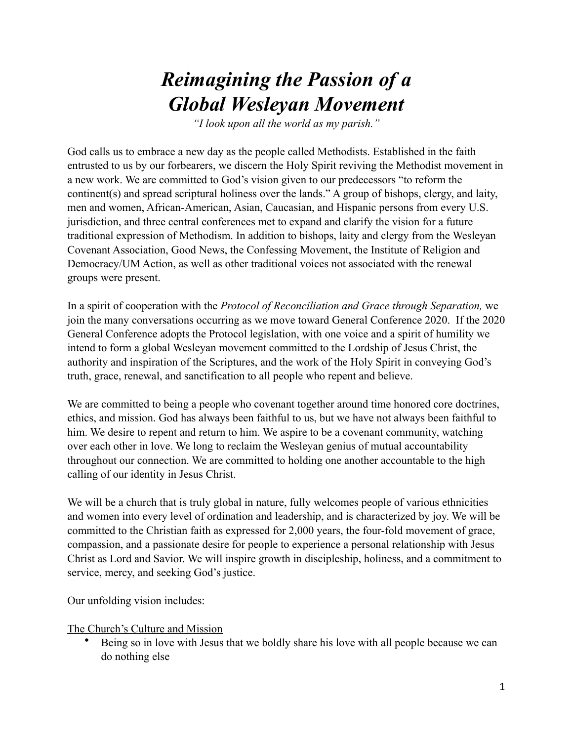## *Reimagining the Passion of a Global Wesleyan Movement*

*"I look upon all the world as my parish."*

God calls us to embrace a new day as the people called Methodists. Established in the faith entrusted to us by our forbearers, we discern the Holy Spirit reviving the Methodist movement in a new work. We are committed to God's vision given to our predecessors "to reform the continent(s) and spread scriptural holiness over the lands." A group of bishops, clergy, and laity, men and women, African-American, Asian, Caucasian, and Hispanic persons from every U.S. jurisdiction, and three central conferences met to expand and clarify the vision for a future traditional expression of Methodism. In addition to bishops, laity and clergy from the Wesleyan Covenant Association, Good News, the Confessing Movement, the Institute of Religion and Democracy/UM Action, as well as other traditional voices not associated with the renewal groups were present.

In a spirit of cooperation with the *Protocol of Reconciliation and Grace through Separation,* we join the many conversations occurring as we move toward General Conference 2020. If the 2020 General Conference adopts the Protocol legislation, with one voice and a spirit of humility we intend to form a global Wesleyan movement committed to the Lordship of Jesus Christ, the authority and inspiration of the Scriptures, and the work of the Holy Spirit in conveying God's truth, grace, renewal, and sanctification to all people who repent and believe.

We are committed to being a people who covenant together around time honored core doctrines, ethics, and mission. God has always been faithful to us, but we have not always been faithful to him. We desire to repent and return to him. We aspire to be a covenant community, watching over each other in love. We long to reclaim the Wesleyan genius of mutual accountability throughout our connection. We are committed to holding one another accountable to the high calling of our identity in Jesus Christ.

We will be a church that is truly global in nature, fully welcomes people of various ethnicities and women into every level of ordination and leadership, and is characterized by joy. We will be committed to the Christian faith as expressed for 2,000 years, the four-fold movement of grace, compassion, and a passionate desire for people to experience a personal relationship with Jesus Christ as Lord and Savior. We will inspire growth in discipleship, holiness, and a commitment to service, mercy, and seeking God's justice.

Our unfolding vision includes:

## The Church's Culture and Mission

• Being so in love with Jesus that we boldly share his love with all people because we can do nothing else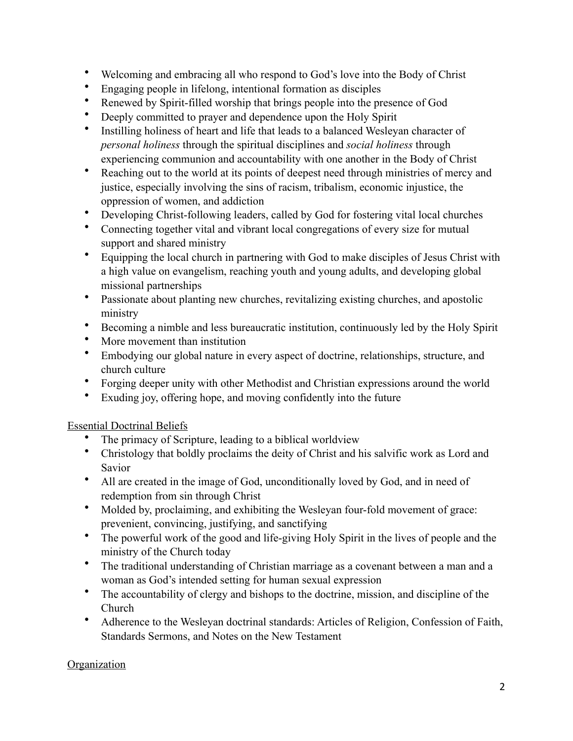- Welcoming and embracing all who respond to God's love into the Body of Christ
- Engaging people in lifelong, intentional formation as disciples
- Renewed by Spirit-filled worship that brings people into the presence of God
- Deeply committed to prayer and dependence upon the Holy Spirit
- Instilling holiness of heart and life that leads to a balanced Wesleyan character of *personal holiness* through the spiritual disciplines and *social holiness* through experiencing communion and accountability with one another in the Body of Christ
- Reaching out to the world at its points of deepest need through ministries of mercy and justice, especially involving the sins of racism, tribalism, economic injustice, the oppression of women, and addiction
- Developing Christ-following leaders, called by God for fostering vital local churches
- Connecting together vital and vibrant local congregations of every size for mutual support and shared ministry
- Equipping the local church in partnering with God to make disciples of Jesus Christ with a high value on evangelism, reaching youth and young adults, and developing global missional partnerships
- Passionate about planting new churches, revitalizing existing churches, and apostolic ministry
- Becoming a nimble and less bureaucratic institution, continuously led by the Holy Spirit
- More movement than institution
- Embodying our global nature in every aspect of doctrine, relationships, structure, and church culture
- Forging deeper unity with other Methodist and Christian expressions around the world
- Exuding joy, offering hope, and moving confidently into the future

## Essential Doctrinal Beliefs

- The primacy of Scripture, leading to a biblical worldview
- Christology that boldly proclaims the deity of Christ and his salvific work as Lord and Savior
- All are created in the image of God, unconditionally loved by God, and in need of redemption from sin through Christ
- Molded by, proclaiming, and exhibiting the Wesleyan four-fold movement of grace: prevenient, convincing, justifying, and sanctifying
- The powerful work of the good and life-giving Holy Spirit in the lives of people and the ministry of the Church today
- The traditional understanding of Christian marriage as a covenant between a man and a woman as God's intended setting for human sexual expression
- The accountability of clergy and bishops to the doctrine, mission, and discipline of the Church
- Adherence to the Wesleyan doctrinal standards: Articles of Religion, Confession of Faith, Standards Sermons, and Notes on the New Testament

## **Organization**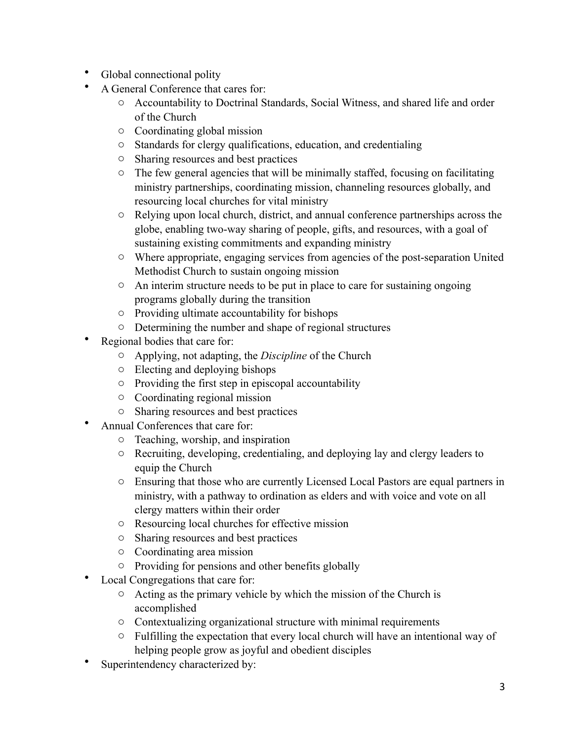- Global connectional polity
- A General Conference that cares for:
	- o Accountability to Doctrinal Standards, Social Witness, and shared life and order of the Church
	- o Coordinating global mission
	- o Standards for clergy qualifications, education, and credentialing
	- o Sharing resources and best practices
	- $\circ$  The few general agencies that will be minimally staffed, focusing on facilitating ministry partnerships, coordinating mission, channeling resources globally, and resourcing local churches for vital ministry
	- o Relying upon local church, district, and annual conference partnerships across the globe, enabling two-way sharing of people, gifts, and resources, with a goal of sustaining existing commitments and expanding ministry
	- o Where appropriate, engaging services from agencies of the post-separation United Methodist Church to sustain ongoing mission
	- $\circ$  An interim structure needs to be put in place to care for sustaining ongoing programs globally during the transition
	- o Providing ultimate accountability for bishops
	- o Determining the number and shape of regional structures
- Regional bodies that care for:
	- o Applying, not adapting, the *Discipline* of the Church
	- o Electing and deploying bishops
	- o Providing the first step in episcopal accountability
	- o Coordinating regional mission
	- o Sharing resources and best practices
- Annual Conferences that care for:
	- o Teaching, worship, and inspiration
	- o Recruiting, developing, credentialing, and deploying lay and clergy leaders to equip the Church
	- o Ensuring that those who are currently Licensed Local Pastors are equal partners in ministry, with a pathway to ordination as elders and with voice and vote on all clergy matters within their order
	- o Resourcing local churches for effective mission
	- o Sharing resources and best practices
	- o Coordinating area mission
	- o Providing for pensions and other benefits globally
- Local Congregations that care for:
	- $\circ$  Acting as the primary vehicle by which the mission of the Church is accomplished
	- o Contextualizing organizational structure with minimal requirements
	- $\circ$  Fulfilling the expectation that every local church will have an intentional way of helping people grow as joyful and obedient disciples
- Superintendency characterized by: